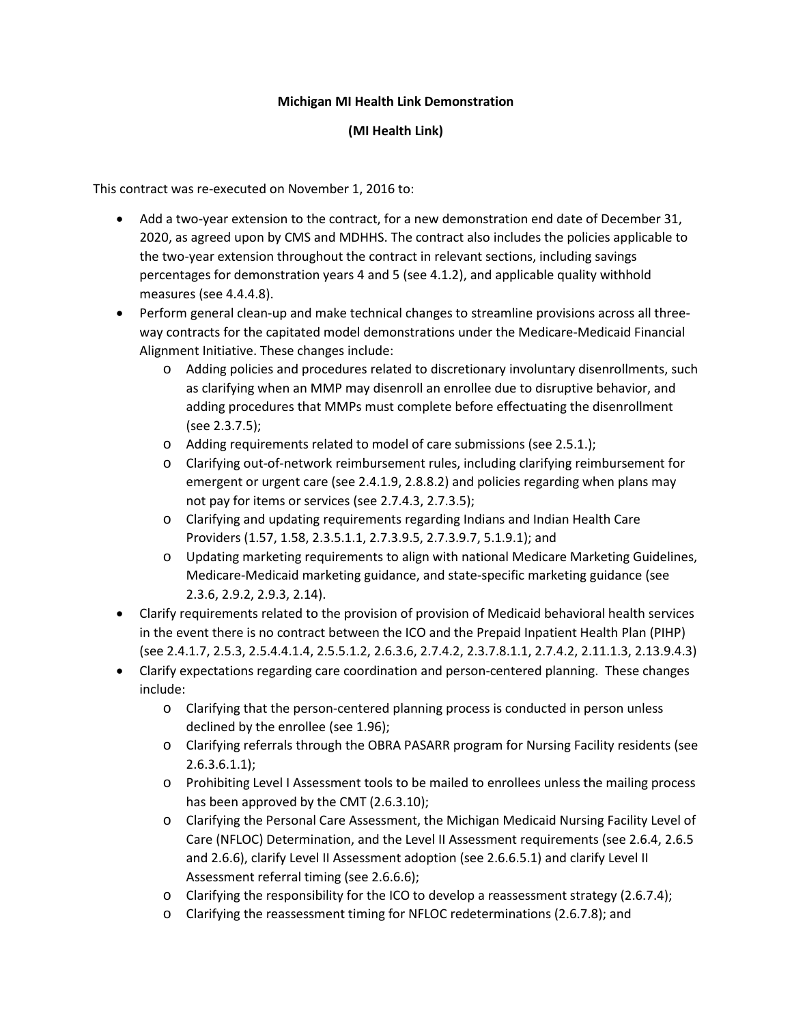## **Michigan MI Health Link Demonstration**

## **(MI Health Link)**

This contract was re-executed on November 1, 2016 to:

- Add a two-year extension to the contract, for a new demonstration end date of December 31, 2020, as agreed upon by CMS and MDHHS. The contract also includes the policies applicable to the two-year extension throughout the contract in relevant sections, including savings percentages for demonstration years 4 and 5 (see 4.1.2), and applicable quality withhold measures (see 4.4.4.8).
- Perform general clean-up and make technical changes to streamline provisions across all threeway contracts for the capitated model demonstrations under the Medicare-Medicaid Financial Alignment Initiative. These changes include:
	- o Adding policies and procedures related to discretionary involuntary disenrollments, such as clarifying when an MMP may disenroll an enrollee due to disruptive behavior, and adding procedures that MMPs must complete before effectuating the disenrollment (see 2.3.7.5);
	- o Adding requirements related to model of care submissions (see 2.5.1.);
	- o Clarifying out-of-network reimbursement rules, including clarifying reimbursement for emergent or urgent care (see 2.4.1.9, 2.8.8.2) and policies regarding when plans may not pay for items or services (see 2.7.4.3, 2.7.3.5);
	- o Clarifying and updating requirements regarding Indians and Indian Health Care Providers (1.57, 1.58, 2.3.5.1.1, 2.7.3.9.5, 2.7.3.9.7, 5.1.9.1); and
	- o Updating marketing requirements to align with national Medicare Marketing Guidelines, Medicare-Medicaid marketing guidance, and state-specific marketing guidance (see 2.3.6, 2.9.2, 2.9.3, 2.14).
- Clarify requirements related to the provision of provision of Medicaid behavioral health services in the event there is no contract between the ICO and the Prepaid Inpatient Health Plan (PIHP) (see 2.4.1.7, 2.5.3, 2.5.4.4.1.4, 2.5.5.1.2, 2.6.3.6, 2.7.4.2, 2.3.7.8.1.1, 2.7.4.2, 2.11.1.3, 2.13.9.4.3)
- Clarify expectations regarding care coordination and person-centered planning. These changes include:
	- o Clarifying that the person-centered planning process is conducted in person unless declined by the enrollee (see 1.96);
	- o Clarifying referrals through the OBRA PASARR program for Nursing Facility residents (see 2.6.3.6.1.1);
	- o Prohibiting Level I Assessment tools to be mailed to enrollees unless the mailing process has been approved by the CMT (2.6.3.10);
	- o Clarifying the Personal Care Assessment, the Michigan Medicaid Nursing Facility Level of Care (NFLOC) Determination, and the Level II Assessment requirements (see 2.6.4, 2.6.5 and 2.6.6), clarify Level II Assessment adoption (see 2.6.6.5.1) and clarify Level II Assessment referral timing (see 2.6.6.6);
	- o Clarifying the responsibility for the ICO to develop a reassessment strategy (2.6.7.4);
	- o Clarifying the reassessment timing for NFLOC redeterminations (2.6.7.8); and